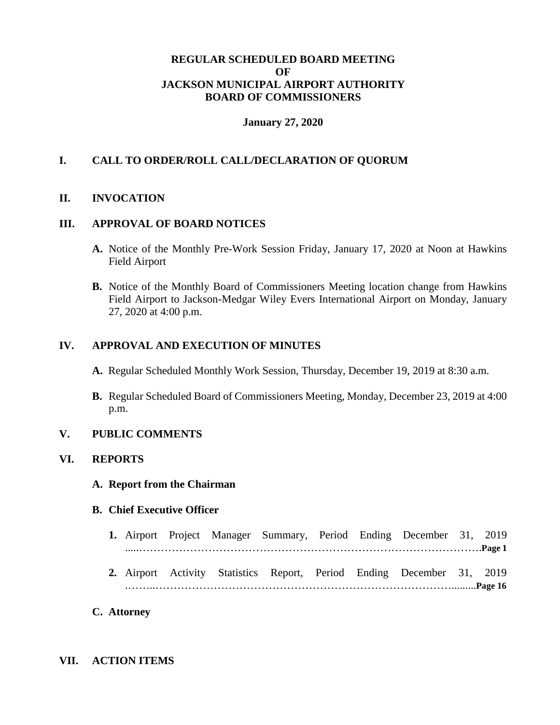## **REGULAR SCHEDULED BOARD MEETING OF JACKSON MUNICIPAL AIRPORT AUTHORITY BOARD OF COMMISSIONERS**

#### **January 27, 2020**

## **I. CALL TO ORDER/ROLL CALL/DECLARATION OF QUORUM**

## **II. INVOCATION**

### **III. APPROVAL OF BOARD NOTICES**

- **A.** Notice of the Monthly Pre-Work Session Friday, January 17, 2020 at Noon at Hawkins Field Airport
- **B.** Notice of the Monthly Board of Commissioners Meeting location change from Hawkins Field Airport to Jackson-Medgar Wiley Evers International Airport on Monday, January 27, 2020 at 4:00 p.m.

#### **IV. APPROVAL AND EXECUTION OF MINUTES**

- **A.** Regular Scheduled Monthly Work Session, Thursday, December 19, 2019 at 8:30 a.m.
- **B.** Regular Scheduled Board of Commissioners Meeting, Monday, December 23, 2019 at 4:00 p.m.

## **V. PUBLIC COMMENTS**

## **VI. REPORTS**

**A. Report from the Chairman**

#### **B. Chief Executive Officer**

- **1.** Airport Project Manager Summary, Period Ending December 31, 2019 .....………………………………………………………………………………….**Page 1**
- **2.** Airport Activity Statistics Report, Period Ending December 31, 2019 .……..……………………………………………………………………….........**Page 16**
- **C. Attorney**

#### **VII. ACTION ITEMS**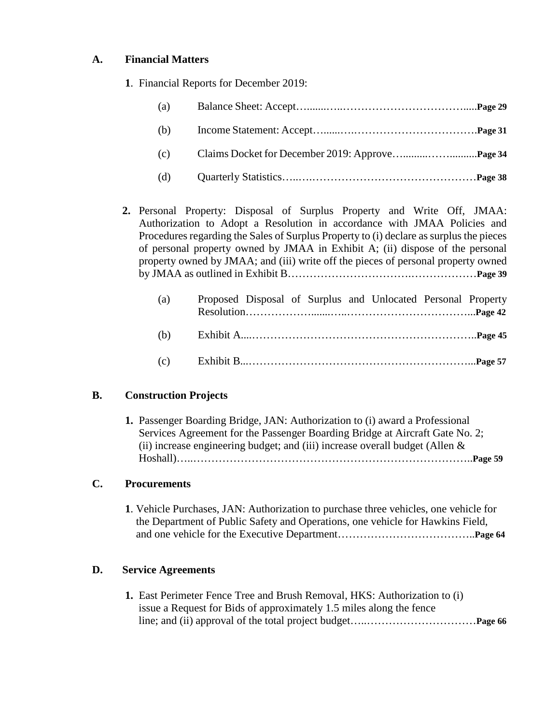## **A. Financial Matters**

**1**. Financial Reports for December 2019:

| (a) |  |
|-----|--|
| (b) |  |
| (c) |  |
| (d) |  |

**2.** Personal Property: Disposal of Surplus Property and Write Off, JMAA: Authorization to Adopt a Resolution in accordance with JMAA Policies and Procedures regarding the Sales of Surplus Property to (i) declare as surplus the pieces of personal property owned by JMAA in Exhibit A; (ii) dispose of the personal property owned by JMAA; and (iii) write off the pieces of personal property owned by JMAA as outlined in Exhibit B…………………………….………………**Page 39**

| (a) | Proposed Disposal of Surplus and Unlocated Personal Property |  |  |  |
|-----|--------------------------------------------------------------|--|--|--|
|     |                                                              |  |  |  |
|     |                                                              |  |  |  |
|     |                                                              |  |  |  |
|     |                                                              |  |  |  |
|     |                                                              |  |  |  |

## **B. Construction Projects**

| <b>1.</b> Passenger Boarding Bridge, JAN: Authorization to (i) award a Professional |
|-------------------------------------------------------------------------------------|
| Services Agreement for the Passenger Boarding Bridge at Aircraft Gate No. 2;        |
| (ii) increase engineering budget; and (iii) increase overall budget (Allen $\&$     |
|                                                                                     |

# **C. Procurements**

**1**. Vehicle Purchases, JAN: Authorization to purchase three vehicles, one vehicle for the Department of Public Safety and Operations, one vehicle for Hawkins Field, and one vehicle for the Executive Department………………………………..**Page 64**

## **D. Service Agreements**

**1.** East Perimeter Fence Tree and Brush Removal, HKS: Authorization to (i) issue a Request for Bids of approximately 1.5 miles along the fence line; and (ii) approval of the total project budget…..…………………………**Page 66**